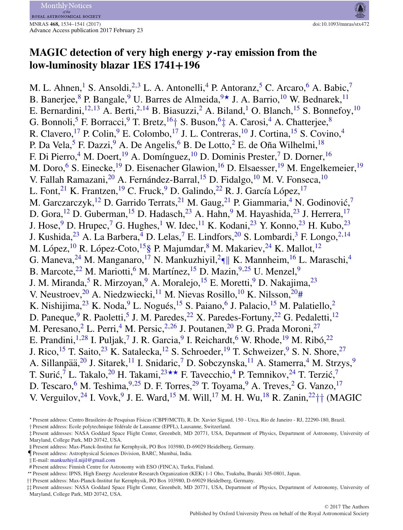

# **MAGIC detection of very high energy** *γ* **-ray emission from the low-luminosity blazar 1ES 1741+196**

M. L. Ahnen, S. Ansoldi,  $^{2,3}$  $^{2,3}$  $^{2,3}$  $^{2,3}$  L. A. Antonelli,  $^{4}$  $^{4}$  $^{4}$  P. Antoranz,  $^{5}$  C. Arcaro,  $^{6}$  $^{6}$  $^{6}$  A. Babic,  $^{7}$ B. Banerjee, <sup>8</sup> P. Bangale, <sup>9</sup> U. Barres de Almeida,  $9\star$  J. A. Barrio, <sup>[10](#page-7-9)</sup> W. Bednarek, <sup>11</sup> E. Bernardini,<sup>[12,](#page-7-11)[13](#page-7-12)</sup> A. Berti,<sup>[2,](#page-7-1)[14](#page-7-13)</sup> B. Biasuzzi,<sup>[2](#page-7-1)</sup> A. Biland,<sup>[1](#page-7-0)</sup> O. Blanch,<sup>[15](#page-7-14)</sup> S. Bonnefoy,<sup>[10](#page-7-9)</sup> G. Bonnoli,<sup>[5](#page-7-4)</sup> F. Borracci,<sup>[9](#page-7-8)</sup> T. Bretz,  $16+$  $16+$  S. Buson,  $6+$  A. Carosi, <sup>[4](#page-7-3)</sup> A. Chatterjee, <sup>8</sup> R. Clavero,<sup>[17](#page-7-16)</sup> P. Colin,<sup>[9](#page-7-8)</sup> E. Colombo,<sup>17</sup> J. L. Contreras,<sup>[10](#page-7-9)</sup> J. Cortina,<sup>[15](#page-7-14)</sup> S. Covino,<sup>[4](#page-7-3)</sup> P. Da Vela,<sup>[5](#page-7-4)</sup> F. Dazzi,<sup>[9](#page-7-8)</sup> A. De Angelis,<sup>[6](#page-7-5)</sup> B. De Lotto,<sup>[2](#page-7-1)</sup> E. de Oña Wilhelmi,<sup>[18](#page-7-17)</sup> F. Di Pierro,<sup>[4](#page-7-3)</sup> M. Doert,<sup>[19](#page-7-18)</sup> A. Domínguez,<sup>10</sup> D. Dominis Prester,<sup>[7](#page-7-6)</sup> D. Dorner,<sup>[16](#page-7-15)</sup> M. Doro,<sup>[6](#page-7-5)</sup> S. Einecke,<sup>[19](#page-7-18)</sup> D. Eisenacher Glawion,<sup>16</sup> D. Elsaesser,<sup>19</sup> M. Engelkemeier,<sup>19</sup> V. Fallah Ramazani,<sup>[20](#page-7-19)</sup> A. Fernández-Barral,<sup>[15](#page-7-14)</sup> D. Fidalgo,<sup>[10](#page-7-9)</sup> M. V. Fonseca,<sup>10</sup> L. Font, <sup>[21](#page-7-20)</sup> K. Frantzen, <sup>1[9](#page-7-8)</sup> C. Fruck, <sup>9</sup> D. Galindo, <sup>[22](#page-7-21)</sup> R. J. García López, <sup>[17](#page-7-16)</sup> M. Garczarczyk,<sup>[12](#page-7-11)</sup> D. Garrido Terrats,<sup>[21](#page-7-20)</sup> M. Gaug,<sup>21</sup> P. Giammaria,<sup>4</sup> N. Godinović,<sup>[7](#page-7-6)</sup> D. Gora,<sup>[12](#page-7-11)</sup> D. Guberman,<sup>15</sup> D. Hadasch,<sup>[23](#page-7-22)</sup> A. Hahn,<sup>[9](#page-7-8)</sup> M. Hayashida,<sup>23</sup> J. Herrera,<sup>[17](#page-7-16)</sup> J. Hose, <sup>9</sup> D. Hrupec, <sup>[7](#page-7-6)</sup> G. Hughes, <sup>1</sup> W. Idec, <sup>[11](#page-7-10)</sup> K. Kodani, <sup>[23](#page-7-22)</sup> Y. Konno, <sup>23</sup> H. Kubo, <sup>23</sup> J. Kushida,<sup>[23](#page-7-22)</sup> A. La Barbera,<sup>[4](#page-7-3)</sup> D. Lelas,<sup>7</sup> E. Lindfors,<sup>[20](#page-7-19)</sup> S. Lombardi,<sup>[3](#page-7-2)</sup> F. Longo,<sup>[2,](#page-7-1)[14](#page-7-13)</sup> M. López, <sup>[10](#page-7-9)</sup> R. López-Coto, <sup>15</sup>§ P. Majumdar, <sup>[8](#page-7-7)</sup> M. Makariev, <sup>24</sup> K. Mallot, <sup>[12](#page-7-11)</sup> G. Maneva,  $^{24}$  M. Manganaro,  $^{17}$  N. Mankuzhiyil,  $^{2}$ ¶ K. Mannheim,  $^{16}$  $^{16}$  $^{16}$  L. Maraschi,  $^{4}$ B. Marcote,  $^{22}$  M. Mariotti,  $^{6}$  $^{6}$  $^{6}$  M. Martínez,  $^{15}$  $^{15}$  $^{15}$  D. Mazin,  $^{9,25}$  $^{9,25}$  $^{9,25}$  U. Menzel,  $^{9}$  $^{9}$  $^{9}$ J. M. Miranda,<sup>[5](#page-7-4)</sup> R. Mirzoyan,<sup>[9](#page-7-8)</sup> A. Moralejo,<sup>[15](#page-7-14)</sup> E. Moretti,<sup>9</sup> D. Nakajima,<sup>23</sup> V. Neustroev,  $^{20}$  $^{20}$  $^{20}$  A. Niedzwiecki,  $^{11}$  M. Nievas Rosillo,  $^{10}$  K. Nilsson,  $^{20}$ # K. Nishijima,  $^{23}$  $^{23}$  $^{23}$  K. Noda,  $^{9}$  $^{9}$  $^{9}$  L. Nogués,  $^{15}$  $^{15}$  $^{15}$  S. Paiano, <sup>[6](#page-7-5)</sup> J. Palacio,  $^{15}$  M. Palatiello, <sup>[2](#page-7-1)</sup> D. Paneque,  $9 \text{ R}$ . Paoletti, <sup>[5](#page-7-4)</sup> J. M. Paredes,  $22 \text{ X}$ . Paredes-Fortuny,  $22 \text{ G}$ . Pedaletti,  $12 \text{ A}$  $12 \text{ A}$ M. Peresano, <sup>[2](#page-7-1)</sup> L. Perri, <sup>[4](#page-7-3)</sup> M. Persic, <sup>2, 26</sup> J. Poutanen, <sup>[20](#page-7-19)</sup> P. G. Prada Moroni, <sup>[27](#page-7-26)</sup> E. Prandini,  $1.28$  $1.28$  I. Puljak, <sup>[7](#page-7-6)</sup> J. R. Garcia, <sup>9</sup> I. Reichardt, <sup>[6](#page-7-5)</sup> W. Rhode, <sup>[19](#page-7-18)</sup> M. Ribó, <sup>[22](#page-7-21)</sup> J. Rico,<sup>[15](#page-7-14)</sup> T. Saito,<sup>[23](#page-7-22)</sup> K. Satalecka,<sup>12</sup> S. Schroeder,<sup>[19](#page-7-18)</sup> T. Schweizer,<sup>9</sup> S. N. Shore,<sup>[27](#page-7-26)</sup> A. Sillanpää,<sup>[20](#page-7-19)</sup> J. Sitarek,<sup>[11](#page-7-10)</sup> I. Snidaric,<sup>[7](#page-7-6)</sup> D. Sobczynska,<sup>11</sup> A. Stamerra,<sup>4</sup> M. Strzys,<sup>[9](#page-7-8)</sup> T. Surić,  $\bar{7}$  $\bar{7}$  $\bar{7}$  L. Takalo,  $20$  H. Takami,  $23 \star \star$  $23 \star \star$  F. Tavecchio, <sup>[4](#page-7-3)</sup> P. Temnikov,  $24$  T. Terzić,  $7$ D. Tescaro, <sup>[6](#page-7-5)</sup> M. Teshima,  $9,25$  $9,25$  D. F. Torres,  $29$  T. Toyama,  $9$  A. Treves,  $2$  G. Vanzo,  $17$ V. Verguilov,  $^{24}$  $^{24}$  $^{24}$  I. Vovk, <sup>[9](#page-7-8)</sup> J. E. Ward, <sup>[15](#page-7-14)</sup> M. Will, <sup>[17](#page-7-16)</sup> M. H. Wu, <sup>[18](#page-7-17)</sup> R. Zanin,  $^{22}$ [††](#page-7-21) (MAGIC

<span id="page-0-1"></span><span id="page-0-0"></span><sup>-</sup> Present address: Centro Brasileiro de Pesquisas F´ısicas (CBPF/MCTI), R. Dr. Xavier Sigaud, 150 - Urca, Rio de Janeiro - RJ, 22290-180, Brazil.

<span id="page-0-2"></span><sup>†</sup> Present address: Ecole polytechnique fédérale de Lausanne (EPFL), Lausanne, Switzerland.

<span id="page-0-3"></span><sup>‡</sup> Present addresses: NASA Goddard Space Flight Center, Greenbelt, MD 20771, USA, Department of Physics, Department of Astronomy, University of Maryland, College Park, MD 20742, USA.

<sup>§</sup> Present address: Max-Planck-Institut fur Kernphysik, PO Box 103980, D-69029 Heidelberg, Germany.

<span id="page-0-4"></span><sup>¶</sup>Present address: Astrophysical Sciences Division, BARC, Mumbai, India.

<span id="page-0-5"></span><sup>-</sup> E-mail: [mankuzhiyil.nijil@gmail.com](mailto:mankuzhiyil.nijil@gmail.com)

<span id="page-0-6"></span><sup>#</sup> Present address: Finnish Centre for Astronomy with ESO (FINCA), Turku, Finland.

<span id="page-0-7"></span><sup>-</sup>- Present address: IPNS, High Energy Accelerator Research Organization (KEK) 1-1 Oho, Tsukuba, Ibaraki 305-0801, Japan.

<span id="page-0-8"></span><sup>††</sup> Present address: Max-Planck-Institut fur Kernphysik, PO Box 103980, D-69029 Heidelberg, Germany.

<sup>‡‡</sup> Present addresses: NASA Goddard Space Flight Center, Greenbelt, MD 20771, USA, Department of Physics, Department of Astronomy, University of Maryland, College Park, MD 20742, USA.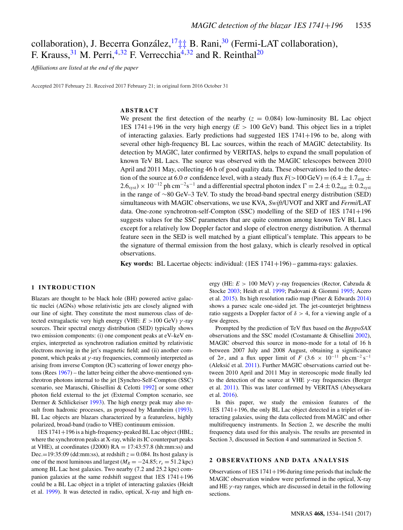# collaboration), J. Becerra González, <sup>17</sup> $\ddagger$  $\ddagger$  B. Rani,<sup>[30](#page-7-29)</sup> (Fermi-LAT collaboration), F. Krauss,  $31$  M. Perri,  $4,32$  $4,32$  F. Verrecchia<sup>4, 32</sup> and R. Reinthal<sup>20</sup>

*Affiliations are listed at the end of the paper*

Accepted 2017 February 21. Received 2017 February 21; in original form 2016 October 31

# **ABSTRACT**

We present the first detection of the nearby  $(z = 0.084)$  low-luminosity BL Lac object 1ES 1741+196 in the very high energy  $(E > 100 \text{ GeV})$  band. This object lies in a triplet of interacting galaxies. Early predictions had suggested  $\text{IES } 1741 + 196$  to be, along with several other high-frequency BL Lac sources, within the reach of MAGIC detectability. Its detection by MAGIC, later confirmed by VERITAS, helps to expand the small population of known TeV BL Lacs. The source was observed with the MAGIC telescopes between 2010 April and 2011 May, collecting 46 h of good quality data. These observations led to the detection of the source at 6.0  $\sigma$  confidence level, with a steady flux  $F(>100 \text{ GeV}) = (6.4 \pm 1.7 \text{ s}) \pm 1.7 \text{ s}$  $2.6<sub>syst</sub>$  × 10<sup>-12</sup> ph cm<sup>-2</sup>s<sup>-1</sup> and a differential spectral photon index  $\Gamma = 2.4 \pm 0.2<sub>stat</sub> \pm 0.2<sub>syst</sub>$ in the range of ∼80 GeV–3 TeV. To study the broad-band spectral energy distribution (SED) simultaneous with MAGIC observations, we use KVA, *Swift*/UVOT and XRT and *Fermi*/LAT data. One-zone synchrotron-self-Compton (SSC) modelling of the SED of 1ES 1741+196 suggests values for the SSC parameters that are quite common among known TeV BL Lacs except for a relatively low Doppler factor and slope of electron energy distribution. A thermal feature seen in the SED is well matched by a giant elliptical's template. This appears to be the signature of thermal emission from the host galaxy, which is clearly resolved in optical observations.

**Key words:** BL Lacertae objects: individual: (1ES 1741+196) – gamma-rays: galaxies.

#### **1 INTRODUCTION**

Blazars are thought to be black hole (BH) powered active galactic nuclei (AGNs) whose relativistic jets are closely aligned with our line of sight. They constitute the most numerous class of detected extragalactic very high energy (VHE:  $E > 100$  GeV)  $\gamma$ -ray sources. Their spectral energy distribution (SED) typically shows two emission components: (i) one component peaks at eV–keV energies, interpreted as synchrotron radiation emitted by relativistic electrons moving in the jet's magnetic field; and (ii) another component, which peaks at  $\gamma$ -ray frequencies, commonly interpreted as arising from inverse Compton (IC) scattering of lower energy photons (Rees [1967\)](#page-7-32) – the latter being either the above-mentioned synchrotron photons internal to the jet [Synchro-Self-Compton (SSC) scenario, see Maraschi, Ghisellini & Celotti [1992\]](#page-7-33) or some other photon field external to the jet (External Compton scenario, see Dermer & Schlickeiser [1993\)](#page-7-34). The high energy peak may also re-sult from hadronic processes, as proposed by Mannheim [\(1993\)](#page-7-35). BL Lac objects are blazars characterized by a featureless, highly polarized, broad-band (radio to VHE) continuum emission.

1ES 1741+196 is a high-frequency-peaked BL Lac object (HBL; where the synchrotron peaks at X-ray, while its IC counterpart peaks at VHE), at coordinates (J2000)  $RA = 17:43:57.8$  (hh:mm:ss) and Dec.=19:35:09 (dd:mm:ss), at redshift  $z = 0.084$ . Its host galaxy is one of the most luminous and largest ( $M_R = -24.85$ ;  $r_e = 51.2$  kpc) among BL Lac host galaxies. Two nearby (7.2 and 25.2 kpc) companion galaxies at the same redshift suggest that  $1ES$   $1741+196$ could be a BL Lac object in a triplet of interacting galaxies (Heidt et al. [1999\)](#page-7-36). It was detected in radio, optical, X-ray and high energy (HE: *E* > 100 MeV) γ -ray frequencies (Rector, Cabzuda & Stocke [2003;](#page-7-37) Heidt et al. [1999;](#page-7-36) Padovani & Giommi [1995;](#page-7-38) Acero et al. [2015\)](#page-7-39). Its high resolution radio map (Piner & Edwards [2014\)](#page-7-40) shows a parsec scale one-sided jet. The jet-counterjet brightness ratio suggests a Doppler factor of  $\delta > 4$ , for a viewing angle of a few degrees.

Prompted by the prediction of TeV flux based on the *BeppoSAX* observations and the SSC model (Costamante & Ghisellini [2002\)](#page-7-41), MAGIC observed this source in mono-mode for a total of 16 h between 2007 July and 2008 August, obtaining a significance of 2 $\sigma$ , and a flux upper limit of *F* (3.6 × 10<sup>-11</sup> ph cm<sup>-2</sup> s<sup>-1</sup> (Aleksić et al.  $2011$ ). Further MAGIC observations carried out between 2010 April and 2011 May in stereoscopic mode finally led to the detection of the source at VHE  $\gamma$ -ray frequencies (Berger et al. [2011\)](#page-7-43). This was later confirmed by VERITAS (Abeysekara et al. [2016\)](#page-7-44).

In this paper, we study the emission features of the 1ES 1741+196, the only BL Lac object detected in a triplet of interacting galaxies, using the data collected from MAGIC and other multifrequency instruments. In Section 2, we describe the multi frequency data used for this analysis. The results are presented in Section 3, discussed in Section 4 and summarized in Section 5.

#### **2 OBSERVATIONS AND DATA ANALYSIS**

Observations of  $1ES 1741+196$  during time periods that include the MAGIC observation window were performed in the optical, X-ray and HE  $\gamma$ -ray ranges, which are discussed in detail in the following sections.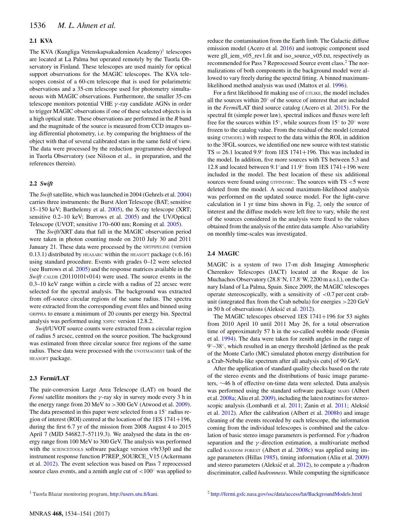# **2.1 KVA**

The KVA (Kungliga Vetenskapsakademien Academy)<sup>1</sup> telescopes are located at La Palma but operated remotely by the Tuorla Observatory in Finland. These telescopes are used mainly for optical support observations for the MAGIC telescopes. The KVA telescopes consist of a 60-cm telescope that is used for polarimetric observations and a 35-cm telescope used for photometry simultaneous with MAGIC observations. Furthermore, the smaller 35-cm telescope monitors potential VHE  $\gamma$ -ray candidate AGNs in order to trigger MAGIC observations if one of these selected objects is in a high optical state. These observations are performed in the *R* band and the magnitude of the source is measured from CCD images using differential photometry, i.e. by comparing the brightness of the object with that of several calibrated stars in the same field of view. The data were processed by the reduction programmes developed in Tuorla Observatory (see Nilsson et al., in preparation, and the references therein).

## **2.2** *Swift*

The *Swift*satellite, which was launched in 2004 (Gehrels et al. [2004\)](#page-7-45) carries three instruments: the Burst Alert Telescope (BAT; sensitive 15–150 keV; Barthelemy et al. [2005\)](#page-7-46), the X-ray telescope (XRT; sensitive 0.2–10 keV; Burrows et al. [2005\)](#page-7-47) and the UV/Optical Telescope (UVOT; sensitive 170–600 nm; Roming et al. [2005\)](#page-7-48).

The *Swift*/XRT data that fall in the MAGIC observation period were taken in photon counting mode on 2010 July 30 and 2011 January 21. These data were processed by the XRTPIPELINE (version  $(0.13.1)$  distributed by HEASARC within the HEASOFT package  $(v.6.16)$ using standard procedure. Events with grades 0–12 were selected (see Burrows et al. [2005\)](#page-7-47) and the response matrices available in the *Swift* CALDB (20110101v014) were used. The source events in the 0.3–10 keV range within a circle with a radius of 22 arcsec were selected for the spectral analysis. The background was extracted from off-source circular regions of the same radius. The spectra were extracted from the corresponding event files and binned using GRPPHA to ensure a minimum of 20 counts per energy bin. Spectral analysis was performed using XSPEC version 12.8.2.

*Swift*/UVOT source counts were extracted from a circular region of radius 5 arcsec, centred on the source position. The background was estimated from three circular source free regions of the same radius. These data were processed with the UVOTMAGHIST task of the HEASOFT package.

### **2.3 Fermi/LAT**

The pair-conversion Large Area Telescope (LAT) on board the *Fermi* satellite monitors the  $\gamma$ -ray sky in survey mode every 3 h in the energy range from 20 MeV to >300 GeV (Atwood et al. [2009\)](#page-7-49). The data presented in this paper were selected from a  $15°$  radius region of interest (ROI) centred at the location of the 1ES  $1741+196$ , during the first 6.7 yr of the mission from 2008 August 4 to 2015 April 7 (MJD 54682.7–57119.3). We analysed the data in the energy range from 100 MeV to 300 GeV. The analysis was performed with the SCIENCETOOLS software package version v9r33p0 and the instrument response function P7REP\_SOURCE\_V15 (Ackermann et al. [2012\)](#page-7-50). The event selection was based on Pass 7 reprocessed source class events, and a zenith angle cut of  $\langle 100^\circ$  was applied to reduce the contamination from the Earth limb. The Galactic diffuse emission model (Acero et al. [2016\)](#page-7-51) and isotropic component used were gll\_iem\_v05\_rev1.fit and iso\_source\_v05.txt, respectively as recommended for Pass 7 Reprocessed Source event class.2 The normalizations of both components in the background model were allowed to vary freely during the spectral fitting. A binned maximumlikelihood method analysis was used (Mattox et al. [1996\)](#page-7-52).

For a first likelihood fit making use of GTLIKE, the model includes all the sources within 20◦ of the source of interest that are included in the *Fermi*/LAT third source catalog (Acero et al. [2015\)](#page-7-39). For the spectral fit (simple power law), spectral indices and fluxes were left free for the sources within 15◦, while sources from 15◦ to 20◦ were frozen to the catalog value. From the residual of the model (created using GTMODEL) with respect to the data within the ROI, in addition to the 3FGL sources, we identified one new source with test statistic TS = 26.1 located 9.9 $\textdegree$  from 1ES 1741+196. This was included in the model. In addition, five more sources with TS between 5.3 and 12.8 and located between  $9.1°$  and  $11.9°$  from 1ES 1741+196 were included in the model. The best location of these six additional sources were found using GTFINDSRC. The sources with  $TS < 5$  were deleted from the model. A second maximum-likelihood analysis was performed on the updated source model. For the light-curve calculation in 1 yr time bins shown in Fig. [2,](#page-4-0) only the source of interest and the diffuse models were left free to vary, while the rest of the sources considered in the analysis were fixed to the values obtained from the analysis of the entire data sample. Also variability on monthly time-scales was investigated.

### **2.4 MAGIC**

MAGIC is a system of two 17-m dish Imaging Atmospheric Cherenkov Telescopes (IACT) located at the Roque de los Muchachos Observatory (28.8◦N, 17.8◦W, 2200 m a.s.l.), on the Canary Island of La Palma, Spain. Since 2009, the MAGIC telescopes operate stereoscopically, with a sensitivity of  $<$ 0.7 per cent crabunit (integrated flux from the Crab nebula) for energies >220 GeV in 50 h of observations (Aleksić et al.  $2012$ ).

The MAGIC telescopes observed 1ES 1741+196 for 53 nights from 2010 April 10 until 2011 May 26, for a total observation time of approximately 57 h in the so-called wobble mode (Fomin et al. [1994\)](#page-7-53). The data were taken for zenith angles in the range of 9◦–38◦, which resulted in an energy threshold [defined as the peak of the Monte Carlo (MC) simulated photon energy distribution for a Crab-Nebula-like spectrum after all analysis cuts] of 90 GeV.

After the application of standard quality checks based on the rate of the stereo events and the distributions of basic image parameters, ∼46 h of effective on-time data were selected. Data analysis was performed using the standard software package MARS (Albert et al. [2008a;](#page-7-54) Aliu et al. [2009\)](#page-7-55), including the latest routines for stereoscopic analysis (Lombardi et al. [2011;](#page-7-56) Zanin et al. [2011;](#page-7-57) Aleksic´ et al. [2012\)](#page-7-58). After the calibration (Albert et al. [2008b\)](#page-7-59) and image cleaning of the events recorded by each telescope, the information coming from the individual telescopes is combined and the calculation of basic stereo image parameters is performed. For  $\gamma$ /hadron separation and the  $\gamma$ -direction estimation, a multivariate method called RANDOM FOREST (Albert et al. [2008c\)](#page-7-60) was applied using image parameters (Hillas [1985\)](#page-7-61), timing information (Aliu et al. [2009\)](#page-7-55) and stereo parameters (Aleksić et al.  $2012$ ), to compute a  $\gamma$ /hadron discriminator, called *hadronness*. While computing the significance

<sup>&</sup>lt;sup>1</sup> Tuorla Blazar monitoring program, [http://users.utu.fi/kani.](http://users.utu.fi/kani)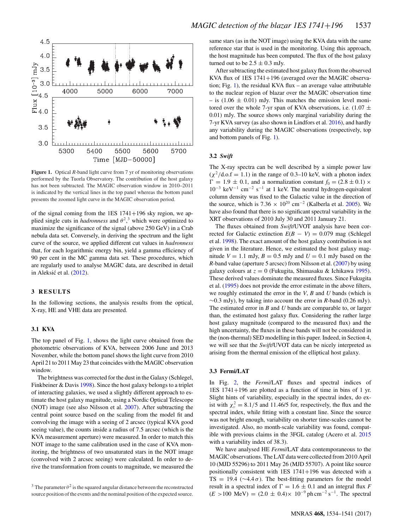<span id="page-3-0"></span>

**Figure 1.** Optical *R*-band light curve from 7 yr of monitoring observations performed by the Tuorla Observatory. The contribution of the host galaxy has not been subtracted. The MAGIC observation window in 2010–2011 is indicated by the vertical lines in the top panel whereas the bottom panel presents the zoomed light curve in the MAGIC observation period.

of the signal coming from the 1ES  $1741+196$  sky region, we applied single cuts in *hadronness* and  $\theta^2$ ,<sup>3</sup> which were optimized to maximize the significance of the signal (above 250 GeV) in a Crab nebula data set. Conversely, in deriving the spectrum and the light curve of the source, we applied different cut values in *hadronness* that, for each logarithmic energy bin, yield a gamma efficiency of 90 per cent in the MC gamma data set. These procedures, which are regularly used to analyse MAGIC data, are described in detail in Aleksić et al.  $(2012)$  $(2012)$ .

## **3 RESULTS**

In the following sections, the analysis results from the optical, X-ray, HE and VHE data are presented.

# **3.1 KVA**

The top panel of Fig. [1,](#page-3-0) shows the light curve obtained from the photometric observations of KVA, between 2006 June and 2013 November, while the bottom panel shows the light curve from 2010 April 21 to 2011 May 23 that coincides with the MAGIC observation window.

The brightness was corrected for the dust in the Galaxy (Schlegel, Finkbeiner & Davis [1998\)](#page-7-62). Since the host galaxy belongs to a triplet of interacting galaxies, we used a slightly different approach to estimate the host galaxy magnitude, using a Nordic Optical Telescope (NOT) image (see also Nilsson et al. [2007\)](#page-7-63). After subtracting the central point source based on the scaling from the model fit and convolving the image with a seeing of 2 arcsec (typical KVA good seeing value), the counts inside a radius of 7.5 arcsec (which is the KVA measurement aperture) were measured. In order to match this NOT image to the same calibration used in the case of KVA monitoring, the brightness of two unsaturated stars in the NOT image (convolved with 2 arcsec seeing) were calculated. In order to derive the transformation from counts to magnitude, we measured the

same stars (as in the NOT image) using the KVA data with the same reference star that is used in the monitoring. Using this approach, the host magnitude has been computed. The flux of the host galaxy turned out to be  $2.5 \pm 0.3$  mJy.

After subtracting the estimated host galaxy flux from the observed KVA flux of 1ES 1741+196 (averaged over the MAGIC observa-tion; Fig. [1\)](#page-3-0), the residual KVA flux – an average value attributable to the nuclear region of blazar over the MAGIC observation time – is  $(1.06 \pm 0.01)$  mJy. This matches the emission level monitored over the whole 7-yr span of KVA observations, i.e.  $(1.07 \pm$ 0.01) mJy. The source shows only marginal variability during the 7-yr KVA survey (as also shown in Lindfors et al. [2016\)](#page-7-64), and hardly any variability during the MAGIC observations (respectively, top and bottom panels of Fig. [1\)](#page-3-0).

## **3.2** *Swift*

The X-ray spectra can be well described by a simple power law  $(\chi^2/\text{d.o.f} = 1.1)$  in the range of 0.3–10 keV, with a photon index  $\Gamma = 1.9 \pm 0.1$ , and a normalization constant  $f_0 = (2.8 \pm 0.1) \times$  $10^{-3}$  keV<sup>-1</sup> cm<sup>-2</sup> s<sup>-1</sup> at 1 keV. The neutral hydrogen-equivalent column density was fixed to the Galactic value in the direction of the source, which is 7.36  $\times$  10<sup>20</sup> cm<sup>-2</sup> (Kalberla et al. [2005\)](#page-7-65). We have also found that there is no significant spectral variability in the XRT observations of 2010 July 30 and 2011 January 21.

The fluxes obtained from *Swift*/UVOT analysis have been corrected for Galactic extinction  $E(B - V) = 0.079$  mag (Schlegel et al. [1998\)](#page-7-62). The exact amount of the host galaxy contribution is not given in the literature. Hence, we estimated the host galaxy magnitude  $V = 1.1$  mJy,  $B = 0.5$  mJy and  $U = 0.1$  mJy based on the *R*-band value (aperture 5 arcsec) from Nilsson et al. [\(2007\)](#page-7-63) by using galaxy colours at *z* = 0 (Fukugita, Shimasaku & Ichikawa [1995\)](#page-7-66). These derived values dominate the measured fluxes. Since Fukugita et al. [\(1995\)](#page-7-66) does not provide the error estimate in the above filters, we roughly estimated the error in the *V*, *B* and *U* bands (which is ∼0.3 mJy), by taking into account the error in *R*-band (0.26 mJy). The estimated error in *B* and *U* bands are comparable to, or larger than, the estimated host galaxy flux. Considering the rather large host galaxy magnitude (compared to the measured flux) and the high uncertainty, the fluxes in these bands will not be considered in the (non-thermal) SED modelling in this paper. Indeed, in Section 4, we will see that the *Swift*/UVOT data can be nicely interpreted as arising from the thermal emission of the elliptical host galaxy.

## **3.3 Fermi/LAT**

In Fig. [2,](#page-4-0) the *Fermi*/LAT fluxes and spectral indices of 1ES 1741+196 are plotted as a function of time in bins of 1 yr. Slight hints of variability, especially in the spectral index, do exist with  $\chi^2 = 8.1/5$  and 11.46/5 for, respectively, the flux and the spectral index, while fitting with a constant line. Since the source was not bright enough, variability on shorter time-scales cannot be investigated. Also, no month-scale variability was found, compatible with previous claims in the 3FGL catalog (Acero et al. [2015](#page-7-39) with a variability index of 38.3).

We have analysed HE *Fermi*/LAT data contemporaneous to the MAGIC observations. The LAT data were collected from 2010 April 10 (MJD 55296) to 2011 May 26 (MJD 55707). A point like source positionally consistent with 1ES 1741+196 was detected with a TS = 19.4 ( $\sim$ 4.4 $\sigma$ ). The best-fitting parameters for the model result in a spectral index of  $\Gamma = 1.6 \pm 0.1$  and an integral flux *F*  $(E > 100 \text{ MeV}) = (2.0 \pm 0.4) \times 10^{-9} \text{ ph cm}^{-2} \text{ s}^{-1}$ . The spectral

<sup>&</sup>lt;sup>3</sup> The parameter  $\theta^2$  is the squared angular distance between the reconstructed source position of the events and the nominal position of the expected source.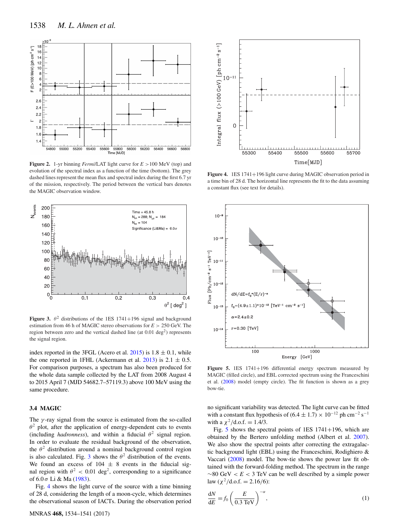<span id="page-4-0"></span>

**Figure 2.** 1-yr binning *Fermi*/LAT light curve for *E* >100 MeV (top) and evolution of the spectral index as a function of the time (bottom). The grey dashed lines represent the mean flux and spectral index during the first 6.7 yr of the mission, respectively. The period between the vertical bars denotes the MAGIC observation window.

<span id="page-4-1"></span>

**Figure 3.**  $\theta^2$  distributions of the 1ES 1741+196 signal and background estimation from 46 h of MAGIC stereo observations for *E* > 250 GeV. The region between zero and the vertical dashed line (at  $0.01 \text{ deg}^2$ ) represents the signal region.

index reported in the 3FGL (Acero et al.  $2015$ ) is  $1.8 \pm 0.1$ , while the one reported in 1FHL (Ackermann et al.  $2013$ ) is  $2.1 \pm 0.5$ . For comparison purposes, a spectrum has also been produced for the whole data sample collected by the LAT from 2008 August 4 to 2015 April 7 (MJD 54682.7–57119.3) above 100 MeV using the same procedure.

## **3.4 MAGIC**

The  $\gamma$ -ray signal from the source is estimated from the so-called  $\theta^2$  plot, after the application of energy-dependent cuts to events (including *hadronness*), and within a fiducial  $\theta^2$  signal region. In order to evaluate the residual background of the observation, the  $\theta^2$  distribution around a nominal background control region is also calculated. Fig. [3](#page-4-1) shows the  $\theta^2$  distribution of the events. We found an excess of  $104 \pm 8$  events in the fiducial signal region with  $\theta^2$  < 0.01 deg<sup>2</sup>, corresponding to a significance of 6.0 σ Li & Ma [\(1983\)](#page-7-68).

Fig. [4](#page-4-2) shows the light curve of the source with a time binning of 28 d, considering the length of a moon-cycle, which determines the observational season of IACTs. During the observation period

<span id="page-4-2"></span>

**Figure 4.** 1ES 1741+196 light curve during MAGIC observation period in a time bin of 28 d. The horizontal line represents the fit to the data assuming a constant flux (see text for details).

<span id="page-4-3"></span>

**Figure 5.** 1ES 1741+196 differential energy spectrum measured by MAGIC (filled circle), and EBL corrected spectrum using the Franceschini et al. [\(2008\)](#page-7-69) model (empty circle). The fit function is shown as a grey bow-tie.

no significant variability was detected. The light curve can be fitted with a constant flux hypothesis of  $(6.4 \pm 1.7) \times 10^{-12}$  ph cm<sup>-2</sup> s<sup>-1</sup> with a  $\chi^2$ /d.o.f. = 1.4/3.

Fig. [5](#page-4-3) shows the spectral points of 1ES 1741+196, which are obtained by the Bertero unfolding method (Albert et al. [2007\)](#page-7-70). We also show the spectral points after correcting the extragalactic background light (EBL) using the Franceschini, Rodighiero & Vaccari [\(2008\)](#page-7-69) model. The bow-tie shows the power law fit obtained with the forward-folding method. The spectrum in the range ∼80 GeV < *E* < 3 TeV can be well described by a simple power law  $(\chi^2/\text{d.o.f.} = 2.16/6)$ :

$$
\frac{dN}{dE} = f_0 \left( \frac{E}{0.3 \text{ TeV}} \right)^{-\alpha},\tag{1}
$$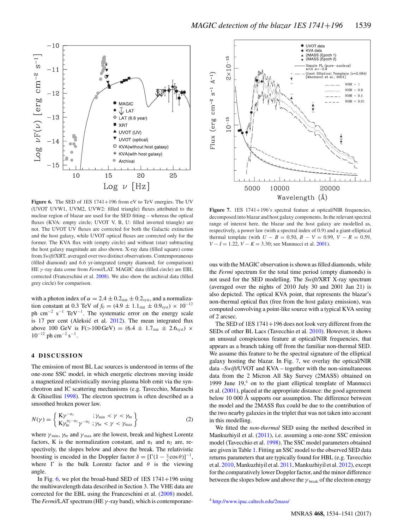<span id="page-5-0"></span>

Figure 6. The SED of 1ES 1741+196 from eV to TeV energies. The UV (UVOT UVW1, UVM2, UVW2: filled triangle) fluxes attributed to the nuclear region of blazar are used for the SED fitting – whereas the optical fluxes (KVA: empty circle; UVOT V, B, U: filled inverted triangle) are not. The UVOT UV fluxes are corrected for both the Galactic extinction and the host galaxy, while UVOT optical fluxes are corrected only for the former. The KVA flux with (empty circle) and without (star) subtracting the host galaxy magnitude are also shown. X-ray data (filled square) come from *Swift*/XRT, averaged over two distinct observations. Contemporaneous (filled diamond) and 6.6 yr-integrated (empty diamond; for comparison) HE γ -ray data come from *Fermi*/LAT. MAGIC data (filled circle) are EBL corrected (Franceschini et al. [2008\)](#page-7-69). We also show the archival data (filled grey circle) for comparison.

with a photon index of  $\alpha = 2.4 \pm 0.2$ <sub>stat</sub>  $\pm 0.2$ <sub>syst</sub>, and a normalization constant at 0.3 TeV of  $f_0 = (4.9 \pm 1.1_{stat} \pm 0.9_{syst}) \times 10^{-12}$ ph cm−<sup>2</sup> s−<sup>1</sup> TeV−1. The systematic error on the energy scale is 17 per cent (Aleksić et al.  $2012$ ). The mean integrated flux above 100 GeV is F(>100 GeV) =  $(6.4 \pm 1.7<sub>stat</sub> \pm 2.6<sub>svst</sub>) \times$  $10^{-12}$  ph cm<sup>-2</sup> s<sup>-1</sup>.

## **4 DISCUSSION**

The emission of most BL Lac sources is understood in terms of the one-zone SSC model, in which energetic electrons moving inside a magnetized relativistically moving plasma blob emit via the synchrotron and IC scattering mechanisms (e.g. Tavecchio, Maraschi & Ghisellini [1998\)](#page-7-71). The electron spectrum is often described as a smoothed broken power law.

$$
N(\gamma) = \left\{ \begin{array}{l} \mathbf{K}\gamma^{-n_1} & \text{if } \gamma < \gamma_{\text{br}} \\ \mathbf{K}\gamma_{\text{br}}^{n_2 - n_1} \gamma^{-n_2} & \text{if } \gamma < \gamma < \gamma_{\text{max}} \end{array} \right\} \tag{2}
$$

where  $\gamma_{\min}$ ,  $\gamma_{\rm br}$  and  $\gamma_{\max}$  are the lowest, break and highest Lorentz factors, K is the normalization constant, and  $n_1$  and  $n_2$  are, respectively, the slopes below and above the break. The relativistic boosting is encoded in the Doppler factor  $\delta = [\Gamma(1 - \frac{\nu}{c} \cos \theta)]^{-1}$ , where  $\Gamma$  is the bulk Lorentz factor and  $\theta$  is the viewing angle.

In Fig. [6,](#page-5-0) we plot the broad-band SED of  $1ES$  1741+196 using the multiwavelength data described in Section 3. The VHE data are corrected for the EBL using the Franceschini et al. [\(2008\)](#page-7-69) model. The *Fermi*/LAT spectrum (HE γ -ray band), which is contemporane-

<span id="page-5-1"></span>

**Figure 7.** 1ES 1741+196's spectral feature at optical/NIR frequencies, decomposed into blazar and host galaxy components. In the relevant spectral range of interest here, the blazar and the host galaxy are modelled as, respectively, a power law (with a spectral index of 0.9) and a giant-elliptical thermal template (with  $U - B = 0.50$ ,  $B - V = 0.99$ ,  $V - R = 0.59$ , *V* − *I* = 1.22, *V* − *K* = 3.30; see Mannucci et al. [2001\)](#page-7-72).

ous with the MAGIC observation is shown as filled diamonds, while the *Fermi* spectrum for the total time period (empty diamonds) is not used for the SED modelling. The *Swift*/XRT X-ray spectrum (averaged over the nights of 2010 July 30 and 2001 Jan 21) is also depicted. The optical KVA point, that represents the blazar's non-thermal optical flux (free from the host galaxy emission), was computed convolving a point-like source with a typical KVA seeing of 2 arcsec.

The SED of 1ES 1741+196 does not look very different from the SEDs of other BL Lacs (Tavecchio et al. [2010\)](#page-7-73). However, it shows an unusual conspicuous feature at optical/NIR frequencies, that appears as a branch taking off from the familiar non-thermal SED. We assume this feature to be the spectral signature of the elliptical galaxy hosting the blazar. In Fig. [7,](#page-5-1) we overlay the optical/NIR data –*Swift*/UVOT and KVA – together with the non-simultaneous data from the 2 Micron All Sky Survey (2MASS) obtained on 1999 June  $19<sup>4</sup>$  on to the giant elliptical template of Mannucci et al. [\(2001\)](#page-7-72), placed at the appropriate distance: the good agreement below 10 000 Å supports our assumption. The difference between the model and the 2MASS flux could be due to the contribution of the two nearby galaxies in the triplet that was not taken into account in this modelling.

We fitted the *non-thermal* SED using the method described in Mankuzhiyil et al. [\(2011\)](#page-7-74), i.e. assuming a one-zone SSC emission model (Tavecchio et al. [1998\)](#page-7-71). The SSC model parameters obtained are given in Table [1.](#page-6-0) Fitting an SSC model to the observed SED data returns parameters that are typically found for HBL (e.g. Tavecchio et al. [2010,](#page-7-73) Mankuzhiyil et al. [2011,](#page-7-74) Mankuzhiyil et al. [2012\)](#page-7-75), except for the comparatively lower Doppler factor, and the minor difference between the slopes below and above the  $\gamma_{\text{break}}$  of the electron energy

<sup>4</sup> <http://www.ipac.caltech.edu/2mass/>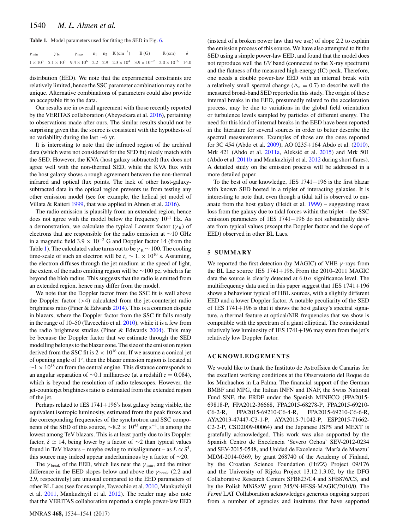<span id="page-6-0"></span>**Table 1.** Model parameters used for fitting the SED in Fig. [6.](#page-5-0)

| $\gamma$ min | $\gamma_{\rm br}$ |  |  | $\gamma_{\text{max}}$ $n_1$ $n_2$ K (cm <sup>-3</sup> ) B (G) R (cm) $\delta$                                                      |  |
|--------------|-------------------|--|--|------------------------------------------------------------------------------------------------------------------------------------|--|
|              |                   |  |  | $1 \times 10^3$ $5.1 \times 10^3$ $9.4 \times 10^6$ $2.2$ $2.9$ $2.3 \times 10^4$ $3.9 \times 10^{-2}$ $2.0 \times 10^{16}$ $14.0$ |  |

distribution (EED). We note that the experimental constraints are relatively limited, hence the SSC parameter combination may not be unique. Alternative combinations of parameters could also provide an acceptable fit to the data.

Our results are in overall agreement with those recently reported by the VERITAS collaboration (Abeysekara et al. [2016\)](#page-7-44), pertaining to observations made after ours. The similar results should not be surprising given that the source is consistent with the hypothesis of no variability during the last ∼6 yr.

It is interesting to note that the infrared region of the archival data (which were not considered for the SED fit) nicely match with the SED. However, the KVA (host galaxy subtracted) flux does not agree well with the non-thermal SED, while the KVA flux with the host galaxy shows a rough agreement between the non-thermal infrared and optical flux points. The lack of other host-galaxysubtracted data in the optical region prevents us from testing any other emission model (see for example, the helical jet model of Villata & Raiteri [1999,](#page-7-76) that was applied in Ahnen et al. [2016\)](#page-7-77).

The radio emission is plausibly from an extended region, hence does not agree with the model below the frequency  $10^{11}$  Hz. As a demonstration, we calculate the typical Lorentz factor ( $\gamma_R$ ) of electrons that are responsible for the radio emission at ∼10 GHz in a magnetic field  $3.9 \times 10^{-2}$  G and Doppler factor 14 (from the Table [1\)](#page-6-0). The calculated value turns out to be  $\gamma_R \sim 100$ . The cooling time-scale of such an electron will be  $t_c \sim 1. \times 10^{10}$  s. Assuming, the electron diffuses through the jet medium at the speed of light, the extent of the radio emitting region will be ∼100 pc, which is far beyond the blob radius. This suggests that the radio is emitted from an extended region, hence may differ from the model.

We note that the Doppler factor from the SSC fit is well above the Doppler factor  $(>4)$  calculated from the jet-counterjet radio brightness ratio (Piner & Edwards [2014\)](#page-7-40). This is a common dispute in blazars, where the Doppler factor from the SSC fit falls mostly in the range of 10–50 (Tavecchio et al. [2010\)](#page-7-73), while it is a few from the radio brightness studies (Piner & Edwards [2004\)](#page-7-78). This may be because the Doppler factor that we estimate through the SED modelling belongs to the blazar zone. The size of the emission region derived from the SSC fit is  $2 \times 10^{16}$  cm. If we assume a conical jet of opening angle of 1◦, then the blazar emission region is located at  $\sim$ 1 × 10<sup>18</sup> cm from the central engine. This distance corresponds to an angular separation of ∼0.1 milliarcsec (at a redshift *z* = 0.084), which is beyond the resolution of radio telescopes. However, the jet-counterjet brightness ratio is estimated from the extended region of the jet.

Perhaps related to 1ES 1741+196's host galaxy being visible, the equivalent isotropic luminosity, estimated from the peak fluxes and the corresponding frequencies of the synchrotron and SSC components of the SED of this source,  $\sim$ 8.2 × 10<sup>43</sup> erg s<sup>-1</sup>, is among the lowest among TeV blazars. This is at least partly due to its Doppler factor,  $\delta$  ≃ 14, being lower by a factor of ∼2 than typical values found in TeV blazars – maybe owing to misalignment – as  $L \propto \delta^4$ , this source may indeed appear underluminous by a factor of  $\sim$ 20.

The  $\gamma_{\text{break}}$  of the EED, which lies near the  $\gamma_{\text{min}}$ , and the minor difference in the EED slopes below and above the  $\gamma$ <sub>break</sub> (2.2 and 2.9, respectively) are unusual compared to the EED parameters of other BL Lacs (see for example, Tavecchio et al. [2010,](#page-7-73) Mankuzhiyil et al. [2011,](#page-7-74) Mankuzhiyil et al. [2012\)](#page-7-75). The reader may also note that the VERITAS collaboration reported a simple power-law EED

(instead of a broken power law that we use) of slope 2.2 to explain the emission process of this source. We have also attempted to fit the SED using a simple power-law EED, and found that the model does not reproduce well the *UV* band (connected to the X-ray spectrum) and the flatness of the measured high-energy (IC) peak. Therefore, one needs a double power-law EED with an internal break with a relatively small spectral change ( $\Delta_n = 0.7$ ) to describe well the measured broad-band SED reported in this study. The origin of these internal breaks in the EED, presumedly related to the acceleration process, may be due to variations in the global field orientation or turbulence levels sampled by particles of different energy. The need for this kind of internal breaks in the EED have been reported in the literature for several sources in order to better describe the spectral measurements. Examples of those are the ones reported for 3C 454 (Abdo et al. [2009\)](#page-7-79), AO 0235+164 Abdo et al. [\(2010\)](#page-7-80), Mrk 421 (Abdo et al. [2011a,](#page-7-81) Aleksić et al. [2015\)](#page-7-82) and Mrk 501 (Abdo et al. [2011b](#page-7-83) and Mankuzhiyil et al. [2012](#page-7-75) during short flares). A detailed study on the emission process will be addressed in a more detailed paper.

To the best of our knowledge, 1ES 1741+196 is the first blazar with known SED hosted in a triplet of interacting galaxies. It is interesting to note that, even though a tidal tail is observed to emanate from the host galaxy (Heidt et al. [1999\)](#page-7-36) – suggesting mass loss from the galaxy due to tidal forces within the triplet – the SSC emission parameters of 1ES 1741+196 do not substantially deviate from typical values (except the Doppler factor and the slope of EED) observed in other BL Lacs.

### **5 SUMMARY**

We reported the first detection (by MAGIC) of VHE  $\gamma$ -rays from the BL Lac source 1ES 1741+196. From the 2010–2011 MAGIC data the source is clearly detected at  $6.0\sigma$  significance level. The multifrequency data used in this paper suggest that  $1ES\ 1741+196$ shows a behaviour typical of HBL sources, with a slightly different EED and a lower Doppler factor. A notable peculiarity of the SED of 1ES 1741+196 is that it shows the host galaxy's spectral signature, a thermal feature at optical/NIR frequencies that we show is compatible with the spectrum of a giant elliptical. The coincidental relatively low luminosity of 1ES 1741+196 may stem from the jet's relatively low Doppler factor.

## **ACKNOWLEDGEMENTS**

We would like to thank the Instituto de Astrofísica de Canarias for the excellent working conditions at the Observatorio del Roque de los Muchachos in La Palma. The financial support of the German BMBF and MPG, the Italian INFN and INAF, the Swiss National Fund SNF, the ERDF under the Spanish MINECO (FPA2015- 69818-P, FPA2012-36668, FPA2015-68278-P, FPA2015-69210- C6-2-R, FPA2015-69210-C6-4-R, FPA2015-69210-C6-6-R, AYA2013-47447-C3-1-P, AYA2015-71042-P, ESP2015-71662- C2-2-P, CSD2009-00064) and the Japanese JSPS and MEXT is gratefully acknowledged. This work was also supported by the Spanish Centro de Excelencia 'Severo Ochoa' SEV-2012-0234 and SEV-2015-0548, and Unidad de Excelencia 'María de Maeztu' MDM-2014-0369, by grant 268740 of the Academy of Finland, by the Croatian Science Foundation (HrZZ) Project 09/176 and the University of Rijeka Project 13.12.1.3.02, by the DFG Collaborative Research Centers SFB823/C4 and SFB876/C3, and by the Polish MNiSzW grant 745/N-HESS-MAGIC/2010/0. The *Fermi* LAT Collaboration acknowledges generous ongoing support from a number of agencies and institutes that have supported